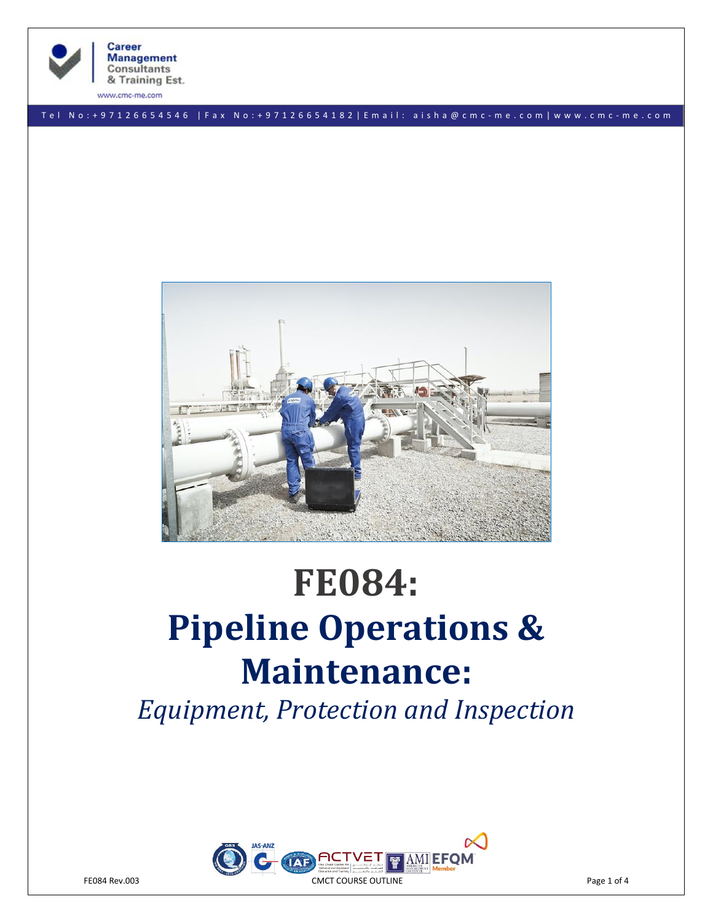

**Career Management** Consultants & Training Est.

www.cmc-me.com

T e l N o : + 9 7 1 2 6 6 5 4 5 4 6 | F a x N o : + 9 7 1 2 6 6 5 4 1 8 2 | E m a i l : a i s h a @ c m c - m e . c o m | w w w . c m c - m e . c o m



# **FE084: Pipeline Operations & Maintenance:**

*Equipment, Protection and Inspection*

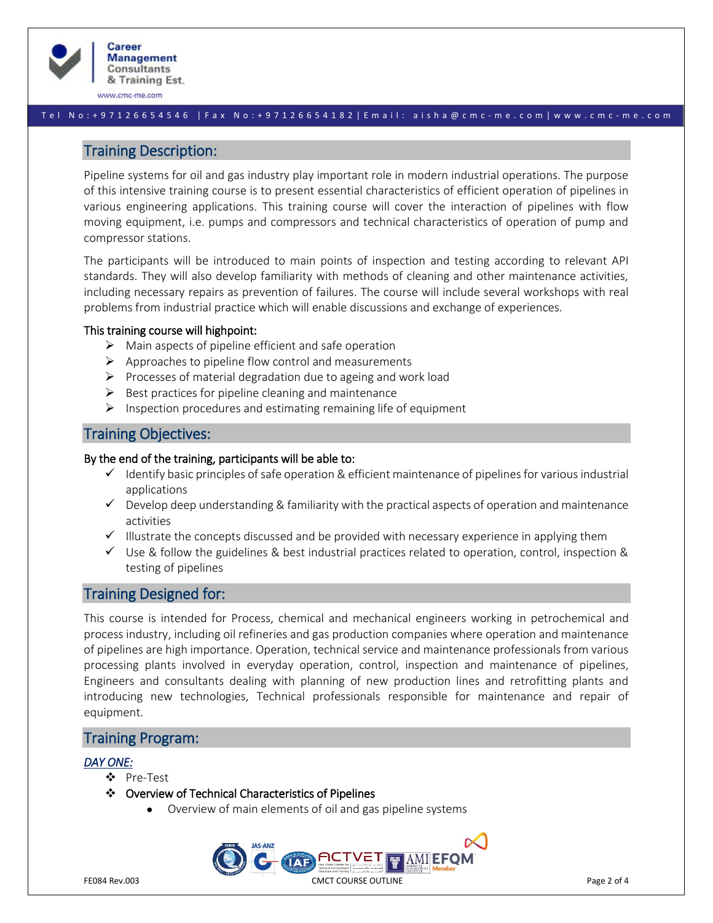

www.cmc-me.com

#### T e l N o : + 9 7 1 2 6 6 5 4 5 4 6 | F a x N o : + 9 7 1 2 6 6 5 4 1 8 2 | E m a i l : a i s h a @ c m c - m e . c o m | w w w . c m c - m e . c o m

# Training Description:

Pipeline systems for oil and gas industry play important role in modern industrial operations. The purpose of this intensive training course is to present essential characteristics of efficient operation of pipelines in various engineering applications. This training course will cover the interaction of pipelines with flow moving equipment, i.e. pumps and compressors and technical characteristics of operation of pump and compressor stations.

The participants will be introduced to main points of inspection and testing according to relevant API standards. They will also develop familiarity with methods of cleaning and other maintenance activities, including necessary repairs as prevention of failures. The course will include several workshops with real problems from industrial practice which will enable discussions and exchange of experiences.

#### This training course will highpoint:

- $\triangleright$  Main aspects of pipeline efficient and safe operation
- $\triangleright$  Approaches to pipeline flow control and measurements
- ➢ Processes of material degradation due to ageing and work load
- $\triangleright$  Best practices for pipeline cleaning and maintenance
- $\triangleright$  Inspection procedures and estimating remaining life of equipment

# Training Objectives:

#### By the end of the training, participants will be able to:

- $\checkmark$  Identify basic principles of safe operation & efficient maintenance of pipelines for various industrial applications
- $\checkmark$  Develop deep understanding & familiarity with the practical aspects of operation and maintenance activities
- $\checkmark$  Illustrate the concepts discussed and be provided with necessary experience in applying them
- $\checkmark$  Use & follow the guidelines & best industrial practices related to operation, control, inspection & testing of pipelines

# Training Designed for:

This course is intended for Process, chemical and mechanical engineers working in petrochemical and process industry, including oil refineries and gas production companies where operation and maintenance of pipelines are high importance. Operation, technical service and maintenance professionals from various processing plants involved in everyday operation, control, inspection and maintenance of pipelines, Engineers and consultants dealing with planning of new production lines and retrofitting plants and introducing new technologies, Technical professionals responsible for maintenance and repair of equipment.

# Training Program:

## *DAY ONE:*

- ❖ Pre-Test
- ❖ Overview of Technical Characteristics of Pipelines
	- Overview of main elements of oil and gas pipeline systems

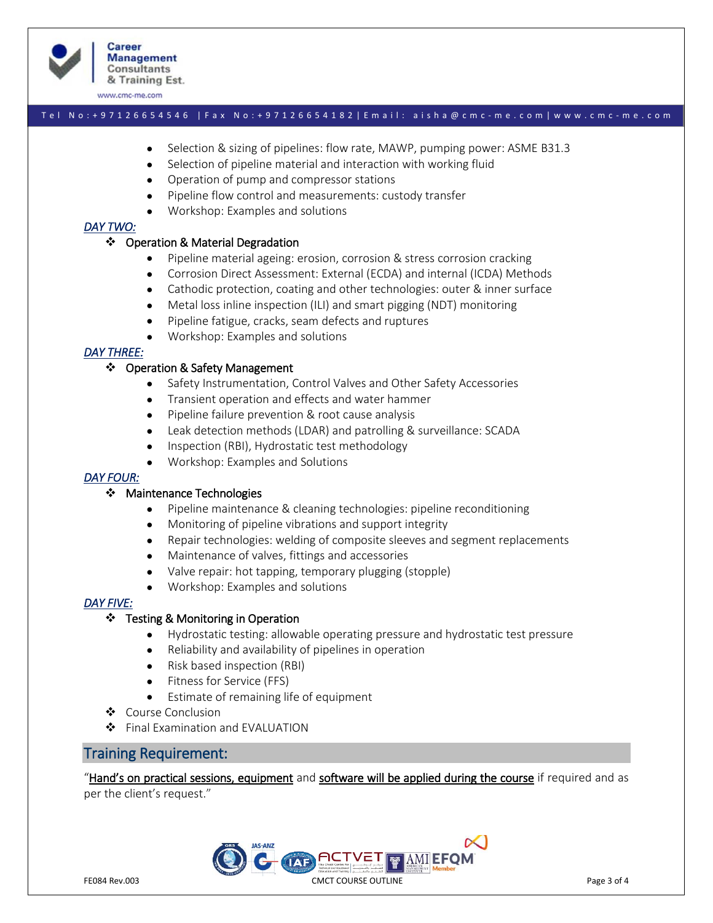

www.cmc-me.com

#### T e l N o : + 9 7 1 2 6 6 5 4 5 4 6 | F a x N o : + 9 7 1 2 6 6 5 4 1 8 2 | E m a i l : a i s h a @ c m c - m e . c o m | w w w . c m c - m e . c o m

- Selection & sizing of pipelines: flow rate, MAWP, pumping power: ASME B31.3
- Selection of pipeline material and interaction with working fluid
- Operation of pump and compressor stations
- Pipeline flow control and measurements: custody transfer
- Workshop: Examples and solutions

#### *DAY TWO:*

#### ❖ Operation & Material Degradation

- Pipeline material ageing: erosion, corrosion & stress corrosion cracking
- Corrosion Direct Assessment: External (ECDA) and internal (ICDA) Methods
- Cathodic protection, coating and other technologies: outer & inner surface
- Metal loss inline inspection (ILI) and smart pigging (NDT) monitoring
- Pipeline fatigue, cracks, seam defects and ruptures
- Workshop: Examples and solutions

## *DAY THREE:*

#### ❖ Operation & Safety Management

- Safety Instrumentation, Control Valves and Other Safety Accessories
- Transient operation and effects and water hammer
- Pipeline failure prevention & root cause analysis
- Leak detection methods (LDAR) and patrolling & surveillance: SCADA
- Inspection (RBI), Hydrostatic test methodology
- Workshop: Examples and Solutions

## *DAY FOUR:*

#### ❖ Maintenance Technologies

- Pipeline maintenance & cleaning technologies: pipeline reconditioning
- Monitoring of pipeline vibrations and support integrity
- Repair technologies: welding of composite sleeves and segment replacements
- Maintenance of valves, fittings and accessories
- Valve repair: hot tapping, temporary plugging (stopple)
- Workshop: Examples and solutions

## *DAY FIVE:*

## ❖ Testing & Monitoring in Operation

- Hydrostatic testing: allowable operating pressure and hydrostatic test pressure
- Reliability and availability of pipelines in operation
- Risk based inspection (RBI)
- Fitness for Service (FFS)
- Estimate of remaining life of equipment
- ❖ Course Conclusion
- ❖ Final Examination and EVALUATION

# Training Requirement:

"Hand's on practical sessions, equipment and software will be applied during the course if required and as per the client's request."